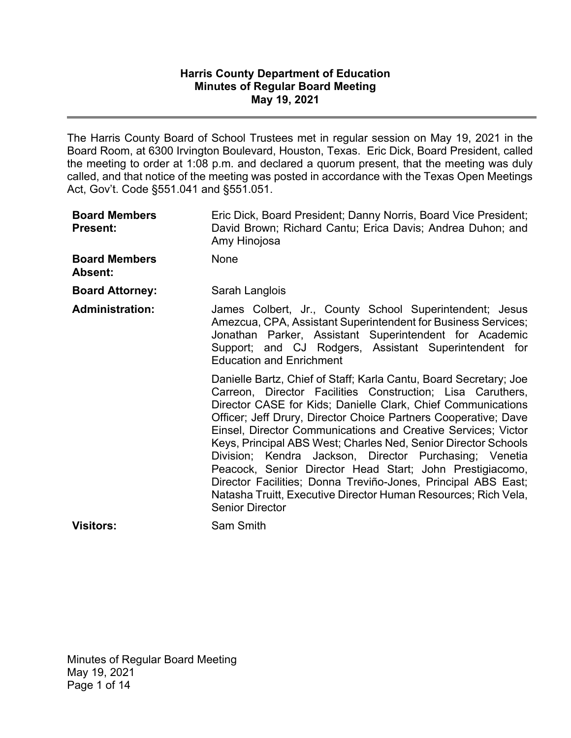### **Harris County Department of Education Minutes of Regular Board Meeting May 19, 2021**

The Harris County Board of School Trustees met in regular session on May 19, 2021 in the Board Room, at 6300 Irvington Boulevard, Houston, Texas. Eric Dick, Board President, called the meeting to order at 1:08 p.m. and declared a quorum present, that the meeting was duly called, and that notice of the meeting was posted in accordance with the Texas Open Meetings Act, Gov't. Code §551.041 and §551.051.

| <b>Board Members</b><br><b>Present:</b> | Eric Dick, Board President; Danny Norris, Board Vice President;<br>David Brown; Richard Cantu; Erica Davis; Andrea Duhon; and<br>Amy Hinojosa                                                                                                                                                                                                                                                                                                                                                                                                                                                                                                                                            |
|-----------------------------------------|------------------------------------------------------------------------------------------------------------------------------------------------------------------------------------------------------------------------------------------------------------------------------------------------------------------------------------------------------------------------------------------------------------------------------------------------------------------------------------------------------------------------------------------------------------------------------------------------------------------------------------------------------------------------------------------|
| <b>Board Members</b><br><b>Absent:</b>  | None                                                                                                                                                                                                                                                                                                                                                                                                                                                                                                                                                                                                                                                                                     |
| <b>Board Attorney:</b>                  | Sarah Langlois                                                                                                                                                                                                                                                                                                                                                                                                                                                                                                                                                                                                                                                                           |
| <b>Administration:</b>                  | James Colbert, Jr., County School Superintendent; Jesus<br>Amezcua, CPA, Assistant Superintendent for Business Services;<br>Jonathan Parker, Assistant Superintendent for Academic<br>Support; and CJ Rodgers, Assistant Superintendent for<br><b>Education and Enrichment</b>                                                                                                                                                                                                                                                                                                                                                                                                           |
|                                         | Danielle Bartz, Chief of Staff; Karla Cantu, Board Secretary; Joe<br>Carreon, Director Facilities Construction; Lisa Caruthers,<br>Director CASE for Kids; Danielle Clark, Chief Communications<br>Officer; Jeff Drury, Director Choice Partners Cooperative; Dave<br>Einsel, Director Communications and Creative Services; Victor<br>Keys, Principal ABS West; Charles Ned, Senior Director Schools<br>Division; Kendra Jackson, Director Purchasing; Venetia<br>Peacock, Senior Director Head Start; John Prestigiacomo,<br>Director Facilities; Donna Treviño-Jones, Principal ABS East;<br>Natasha Truitt, Executive Director Human Resources; Rich Vela,<br><b>Senior Director</b> |
| <b>Visitors:</b>                        | Sam Smith                                                                                                                                                                                                                                                                                                                                                                                                                                                                                                                                                                                                                                                                                |

Minutes of Regular Board Meeting May 19, 2021 Page 1 of 14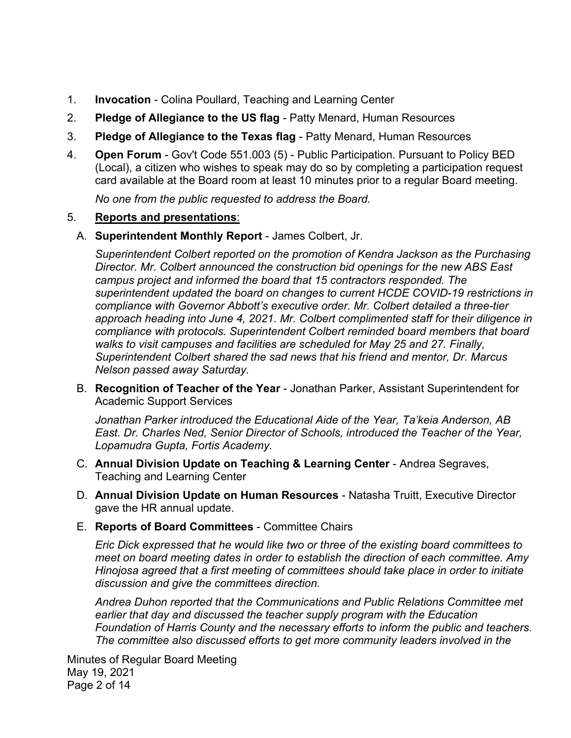- 1. **Invocation** - Colina Poullard, Teaching and Learning Center
- 2. **Pledge of Allegiance to the US flag** - Patty Menard, Human Resources
- 3. **Pledge of Allegiance to the Texas flag** - Patty Menard, Human Resources
- 4. **Open Forum** - Gov't Code 551.003 (5) - Public Participation. Pursuant to Policy BED (Local), a citizen who wishes to speak may do so by completing a participation request card available at the Board room at least 10 minutes prior to a regular Board meeting.

*No one from the public requested to address the Board.* 

#### 5. **Reports and presentations**:

A. **Superintendent Monthly Report** - James Colbert, Jr.

*Superintendent Colbert reported on the promotion of Kendra Jackson as the Purchasing Director. Mr. Colbert announced the construction bid openings for the new ABS East campus project and informed the board that 15 contractors responded. The superintendent updated the board on changes to current HCDE COVID-19 restrictions in compliance with Governor Abbott's executive order. Mr. Colbert detailed a three-tier approach heading into June 4, 2021. Mr. Colbert complimented staff for their diligence in compliance with protocols. Superintendent Colbert reminded board members that board walks to visit campuses and facilities are scheduled for May 25 and 27. Finally, Superintendent Colbert shared the sad news that his friend and mentor, Dr. Marcus Nelson passed away Saturday.*

B. **Recognition of Teacher of the Year** - Jonathan Parker, Assistant Superintendent for Academic Support Services

*Jonathan Parker introduced the Educational Aide of the Year, Ta'keia Anderson, AB East. Dr. Charles Ned, Senior Director of Schools, introduced the Teacher of the Year, Lopamudra Gupta, Fortis Academy.* 

- C. **Annual Division Update on Teaching & Learning Center**  Andrea Segraves, Teaching and Learning Center
- D. **Annual Division Update on Human Resources** Natasha Truitt, Executive Director gave the HR annual update.
- E. **Reports of Board Committees** Committee Chairs

*Eric Dick expressed that he would like two or three of the existing board committees to meet on board meeting dates in order to establish the direction of each committee. Amy Hinojosa agreed that a first meeting of committees should take place in order to initiate discussion and give the committees direction.* 

*Andrea Duhon reported that the Communications and Public Relations Committee met earlier that day and discussed the teacher supply program with the Education Foundation of Harris County and the necessary efforts to inform the public and teachers. The committee also discussed efforts to get more community leaders involved in the* 

Minutes of Regular Board Meeting May 19, 2021 Page 2 of 14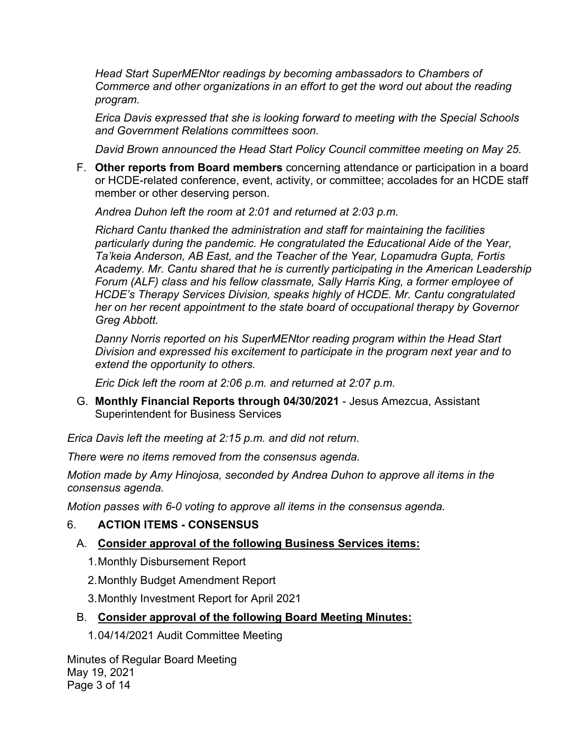*Head Start SuperMENtor readings by becoming ambassadors to Chambers of Commerce and other organizations in an effort to get the word out about the reading program.* 

*Erica Davis expressed that she is looking forward to meeting with the Special Schools and Government Relations committees soon.* 

*David Brown announced the Head Start Policy Council committee meeting on May 25.* 

F. **Other reports from Board members** concerning attendance or participation in a board or HCDE-related conference, event, activity, or committee; accolades for an HCDE staff member or other deserving person.

*Andrea Duhon left the room at 2:01 and returned at 2:03 p.m.* 

*Richard Cantu thanked the administration and staff for maintaining the facilities particularly during the pandemic. He congratulated the Educational Aide of the Year, Ta'keia Anderson, AB East, and the Teacher of the Year, Lopamudra Gupta, Fortis Academy. Mr. Cantu shared that he is currently participating in the American Leadership Forum (ALF) class and his fellow classmate, Sally Harris King, a former employee of HCDE's Therapy Services Division, speaks highly of HCDE. Mr. Cantu congratulated her on her recent appointment to the state board of occupational therapy by Governor Greg Abbott.* 

*Danny Norris reported on his SuperMENtor reading program within the Head Start Division and expressed his excitement to participate in the program next year and to extend the opportunity to others.* 

*Eric Dick left the room at 2:06 p.m. and returned at 2:07 p.m.* 

G. **Monthly Financial Reports through 04/30/2021** - Jesus Amezcua, Assistant Superintendent for Business Services

*Erica Davis left the meeting at 2:15 p.m. and did not return.* 

*There were no items removed from the consensus agenda.* 

*Motion made by Amy Hinojosa, seconded by Andrea Duhon to approve all items in the consensus agenda.* 

*Motion passes with 6-0 voting to approve all items in the consensus agenda.* 

#### 6. **ACTION ITEMS - CONSENSUS**

# A. **Consider approval of the following Business Services items:**

- 1. Monthly Disbursement Report
- 2. Monthly Budget Amendment Report
- 3. Monthly Investment Report for April 2021

# B. **Consider approval of the following Board Meeting Minutes:**

1. 04/14/2021 Audit Committee Meeting

Minutes of Regular Board Meeting May 19, 2021 Page 3 of 14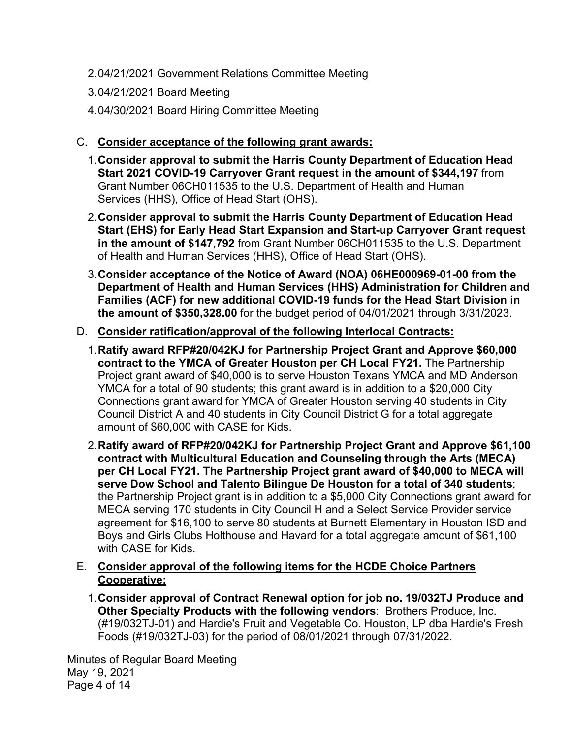- 2. 04/21/2021 Government Relations Committee Meeting
- 3. 04/21/2021 Board Meeting
- 4. 04/30/2021 Board Hiring Committee Meeting

# C. **Consider acceptance of the following grant awards:**

- 1. **Consider approval to submit the Harris County Department of Education Head Start 2021 COVID-19 Carryover Grant request in the amount of \$344,197** from Grant Number 06CH011535 to the U.S. Department of Health and Human Services (HHS), Office of Head Start (OHS).
- 2. **Consider approval to submit the Harris County Department of Education Head Start (EHS) for Early Head Start Expansion and Start-up Carryover Grant request in the amount of \$147,792** from Grant Number 06CH011535 to the U.S. Department of Health and Human Services (HHS), Office of Head Start (OHS).
- 3. **Consider acceptance of the Notice of Award (NOA) 06HE000969-01-00 from the Department of Health and Human Services (HHS) Administration for Children and Families (ACF) for new additional COVID-19 funds for the Head Start Division in the amount of \$350,328.00** for the budget period of 04/01/2021 through 3/31/2023.

# D. **Consider ratification/approval of the following Interlocal Contracts:**

- 1. **Ratify award RFP#20/042KJ for Partnership Project Grant and Approve \$60,000 contract to the YMCA of Greater Houston per CH Local FY21.** The Partnership Project grant award of \$40,000 is to serve Houston Texans YMCA and MD Anderson YMCA for a total of 90 students; this grant award is in addition to a \$20,000 City Connections grant award for YMCA of Greater Houston serving 40 students in City Council District A and 40 students in City Council District G for a total aggregate amount of \$60,000 with CASE for Kids. 2. **Ratify award of RFP#20/042KJ for Partnership Project Grant and Approve \$61,100**
- **contract with Multicultural Education and Counseling through the Arts (MECA) per CH Local FY21. The Partnership Project grant award of \$40,000 to MECA will serve Dow School and Talento Bilingue De Houston for a total of 340 students**; the Partnership Project grant is in addition to a \$5,000 City Connections grant award for MECA serving 170 students in City Council H and a Select Service Provider service agreement for \$16,100 to serve 80 students at Burnett Elementary in Houston ISD and Boys and Girls Clubs Holthouse and Havard for a total aggregate amount of \$61,100 with CASE for Kids.
- E. **Consider approval of the following items for the HCDE Choice Partners Cooperative:** 
	- 1. **Consider approval of Contract Renewal option for job no. 19/032TJ Produce and Other Specialty Products with the following vendors**: Brothers Produce, Inc. (#19/032TJ-01) and Hardie's Fruit and Vegetable Co. Houston, LP dba Hardie's Fresh Foods (#19/032TJ-03) for the period of 08/01/2021 through 07/31/2022.

Minutes of Regular Board Meeting May 19, 2021 Page 4 of 14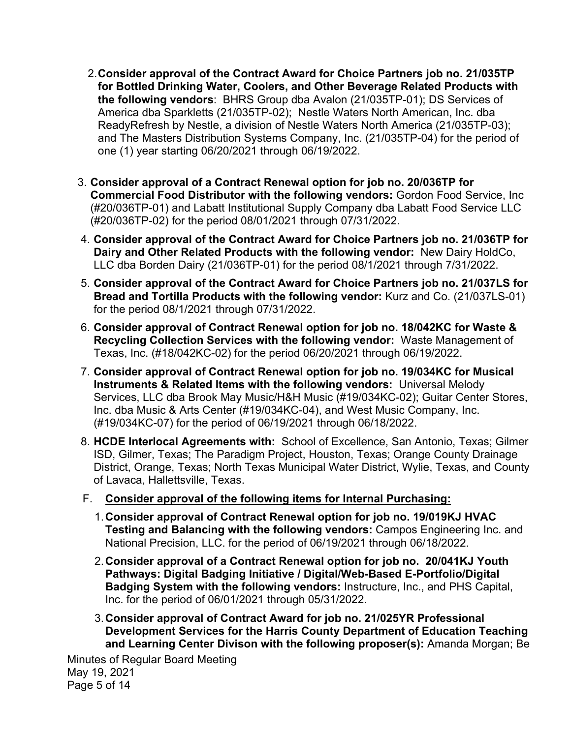- 2. **Consider approval of the Contract Award for Choice Partners job no. 21/035TP for Bottled Drinking Water, Coolers, and Other Beverage Related Products with the following vendors**: BHRS Group dba Avalon (21/035TP-01); DS Services of America dba Sparkletts (21/035TP-02); Nestle Waters North American, Inc. dba ReadyRefresh by Nestle, a division of Nestle Waters North America (21/035TP-03); and The Masters Distribution Systems Company, Inc. (21/035TP-04) for the period of one (1) year starting 06/20/2021 through 06/19/2022.
- 3. **Consider approval of a Contract Renewal option for job no. 20/036TP for Commercial Food Distributor with the following vendors:** Gordon Food Service, Inc (#20/036TP-01) and Labatt Institutional Supply Company dba Labatt Food Service LLC (#20/036TP-02) for the period 08/01/2021 through 07/31/2022.
- 4. **Consider approval of the Contract Award for Choice Partners job no. 21/036TP for Dairy and Other Related Products with the following vendor:** New Dairy HoldCo, LLC dba Borden Dairy (21/036TP-01) for the period 08/1/2021 through 7/31/2022.
- 5. **Consider approval of the Contract Award for Choice Partners job no. 21/037LS for Bread and Tortilla Products with the following vendor:** Kurz and Co. (21/037LS-01) for the period 08/1/2021 through 07/31/2022.
- 6. **Consider approval of Contract Renewal option for job no. 18/042KC for Waste & Recycling Collection Services with the following vendor:** Waste Management of Texas, Inc. (#18/042KC-02) for the period 06/20/2021 through 06/19/2022.
- 7. **Consider approval of Contract Renewal option for job no. 19/034KC for Musical Instruments & Related Items with the following vendors:** Universal Melody Services, LLC dba Brook May Music/H&H Music (#19/034KC-02); Guitar Center Stores, Inc. dba Music & Arts Center (#19/034KC-04), and West Music Company, Inc. (#19/034KC-07) for the period of 06/19/2021 through 06/18/2022.
- 8. **HCDE Interlocal Agreements with:** School of Excellence, San Antonio, Texas; Gilmer ISD, Gilmer, Texas; The Paradigm Project, Houston, Texas; Orange County Drainage District, Orange, Texas; North Texas Municipal Water District, Wylie, Texas, and County of Lavaca, Hallettsville, Texas.

## F. **Consider approval of the following items for Internal Purchasing:**

- 1.**Consider approval of Contract Renewal option for job no. 19/019KJ HVAC Testing and Balancing with the following vendors:** Campos Engineering Inc. and National Precision, LLC. for the period of 06/19/2021 through 06/18/2022.
- 2.**Consider approval of a Contract Renewal option for job no. 20/041KJ Youth Pathways: Digital Badging Initiative / Digital/Web-Based E-Portfolio/Digital Badging System with the following vendors:** Instructure, Inc., and PHS Capital, Inc. for the period of 06/01/2021 through 05/31/2022.
- 3.**Consider approval of Contract Award for job no. 21/025YR Professional Development Services for the Harris County Department of Education Teaching and Learning Center Divison with the following proposer(s):** Amanda Morgan; Be

Minutes of Regular Board Meeting May 19, 2021 Page 5 of 14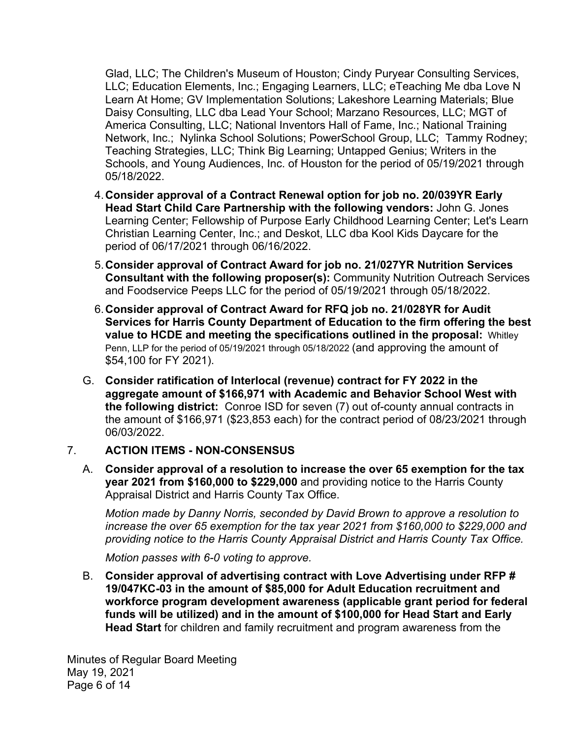Glad, LLC; The Children's Museum of Houston; Cindy Puryear Consulting Services, LLC; Education Elements, Inc.; Engaging Learners, LLC; eTeaching Me dba Love N Learn At Home; GV Implementation Solutions; Lakeshore Learning Materials; Blue Daisy Consulting, LLC dba Lead Your School; Marzano Resources, LLC; MGT of America Consulting, LLC; National Inventors Hall of Fame, Inc.; National Training Network, Inc.; Nylinka School Solutions; PowerSchool Group, LLC; Tammy Rodney; Teaching Strategies, LLC; Think Big Learning; Untapped Genius; Writers in the Schools, and Young Audiences, Inc. of Houston for the period of 05/19/2021 through 05/18/2022.

- 4.**Consider approval of a Contract Renewal option for job no. 20/039YR Early Head Start Child Care Partnership with the following vendors:** John G. Jones Learning Center; Fellowship of Purpose Early Childhood Learning Center; Let's Learn Christian Learning Center, Inc.; and Deskot, LLC dba Kool Kids Daycare for the period of 06/17/2021 through 06/16/2022.
- 5.**Consider approval of Contract Award for job no. 21/027YR Nutrition Services Consultant with the following proposer(s):** Community Nutrition Outreach Services and Foodservice Peeps LLC for the period of 05/19/2021 through 05/18/2022.
- 6.**Consider approval of Contract Award for RFQ job no. 21/028YR for Audit Services for Harris County Department of Education to the firm offering the best value to HCDE and meeting the specifications outlined in the proposal:** Whitley Penn, LLP for the period of 05/19/2021 through 05/18/2022 (and approving the amount of \$54,100 for FY 2021).
- G. **Consider ratification of Interlocal (revenue) contract for FY 2022 in the aggregate amount of \$166,971 with Academic and Behavior School West with the following district:** Conroe ISD for seven (7) out of-county annual contracts in the amount of \$166,971 (\$23,853 each) for the contract period of 08/23/2021 through 06/03/2022.

#### 7. **ACTION ITEMS - NON-CONSENSUS**

A. **Consider approval of a resolution to increase the over 65 exemption for the tax year 2021 from \$160,000 to \$229,000** and providing notice to the Harris County Appraisal District and Harris County Tax Office.

*Motion made by Danny Norris, seconded by David Brown to approve a resolution to increase the over 65 exemption for the tax year 2021 from \$160,000 to \$229,000 and providing notice to the Harris County Appraisal District and Harris County Tax Office.* 

*Motion passes with 6-0 voting to approve.*

B. **Consider approval of advertising contract with Love Advertising under RFP # 19/047KC-03 in the amount of \$85,000 for Adult Education recruitment and workforce program development awareness (applicable grant period for federal funds will be utilized) and in the amount of \$100,000 for Head Start and Early Head Start** for children and family recruitment and program awareness from the

Minutes of Regular Board Meeting May 19, 2021 Page 6 of 14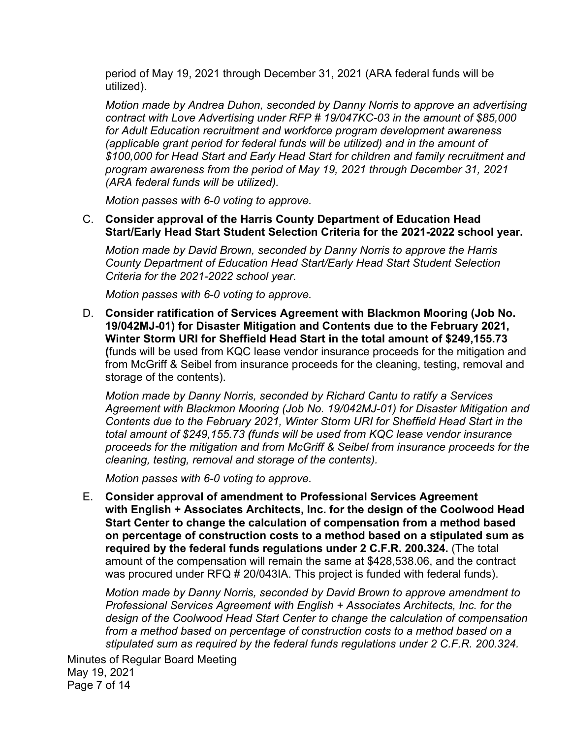period of May 19, 2021 through December 31, 2021 (ARA federal funds will be utilized).

*Motion made by Andrea Duhon, seconded by Danny Norris to approve an advertising contract with Love Advertising under RFP # 19/047KC-03 in the amount of \$85,000 for Adult Education recruitment and workforce program development awareness (applicable grant period for federal funds will be utilized) and in the amount of \$100,000 for Head Start and Early Head Start for children and family recruitment and program awareness from the period of May 19, 2021 through December 31, 2021 (ARA federal funds will be utilized).* 

*Motion passes with 6-0 voting to approve.* 

C. **Consider approval of the Harris County Department of Education Head Start/Early Head Start Student Selection Criteria for the 2021-2022 school year.** 

*Motion made by David Brown, seconded by Danny Norris to approve the Harris County Department of Education Head Start/Early Head Start Student Selection Criteria for the 2021-2022 school year.* 

*Motion passes with 6-0 voting to approve.* 

D. **Consider ratification of Services Agreement with Blackmon Mooring (Job No. 19/042MJ-01) for Disaster Mitigation and Contents due to the February 2021, Winter Storm URI for Sheffield Head Start in the total amount of \$249,155.73 (**funds will be used from KQC lease vendor insurance proceeds for the mitigation and from McGriff & Seibel from insurance proceeds for the cleaning, testing, removal and storage of the contents).

*Motion made by Danny Norris, seconded by Richard Cantu to ratify a Services Agreement with Blackmon Mooring (Job No. 19/042MJ-01) for Disaster Mitigation and Contents due to the February 2021, Winter Storm URI for Sheffield Head Start in the total amount of \$249,155.73 (funds will be used from KQC lease vendor insurance proceeds for the mitigation and from McGriff & Seibel from insurance proceeds for the cleaning, testing, removal and storage of the contents).* 

*Motion passes with 6-0 voting to approve.*

E. **Consider approval of amendment to Professional Services Agreement with English + Associates Architects, Inc. for the design of the Coolwood Head Start Center to change the calculation of compensation from a method based on percentage of construction costs to a method based on a stipulated sum as required by the federal funds regulations under 2 C.F.R. 200.324.** (The total amount of the compensation will remain the same at \$428,538.06, and the contract was procured under RFQ # 20/043IA. This project is funded with federal funds).

*Motion made by Danny Norris, seconded by David Brown to approve amendment to Professional Services Agreement with English + Associates Architects, Inc. for the design of the Coolwood Head Start Center to change the calculation of compensation from a method based on percentage of construction costs to a method based on a stipulated sum as required by the federal funds regulations under 2 C.F.R. 200.324.* 

Minutes of Regular Board Meeting May 19, 2021 Page 7 of 14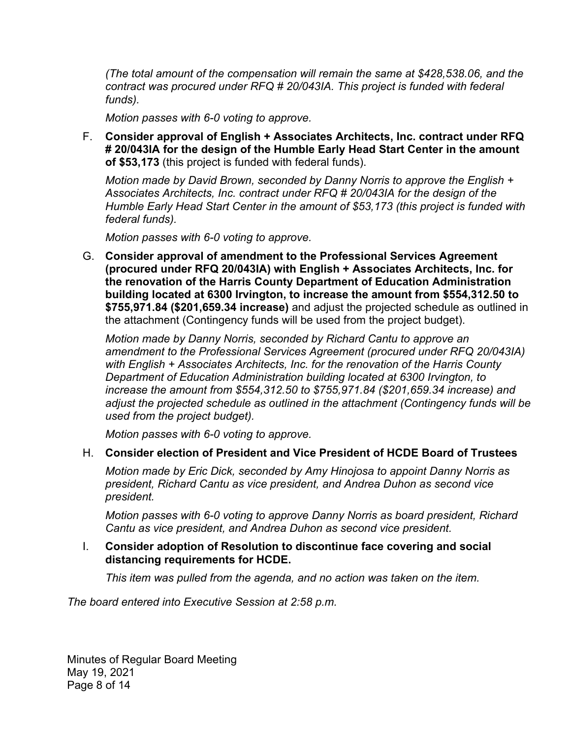*(The total amount of the compensation will remain the same at \$428,538.06, and the contract was procured under RFQ # 20/043IA. This project is funded with federal funds).* 

*Motion passes with 6-0 voting to approve.*

F. **Consider approval of English + Associates Architects, Inc. contract under RFQ # 20/043IA for the design of the Humble Early Head Start Center in the amount of \$53,173** (this project is funded with federal funds).

*Motion made by David Brown, seconded by Danny Norris to approve the English + Associates Architects, Inc. contract under RFQ # 20/043IA for the design of the Humble Early Head Start Center in the amount of \$53,173 (this project is funded with federal funds).* 

*Motion passes with 6-0 voting to approve.*

G. **Consider approval of amendment to the Professional Services Agreement (procured under RFQ 20/043IA) with English + Associates Architects, Inc. for the renovation of the Harris County Department of Education Administration building located at 6300 Irvington, to increase the amount from \$554,312.50 to \$755,971.84 (\$201,659.34 increase)** and adjust the projected schedule as outlined in the attachment (Contingency funds will be used from the project budget).

*Motion made by Danny Norris, seconded by Richard Cantu to approve an amendment to the Professional Services Agreement (procured under RFQ 20/043IA) with English + Associates Architects, Inc. for the renovation of the Harris County Department of Education Administration building located at 6300 Irvington, to increase the amount from \$554,312.50 to \$755,971.84 (\$201,659.34 increase) and adjust the projected schedule as outlined in the attachment (Contingency funds will be used from the project budget).* 

*Motion passes with 6-0 voting to approve.*

### H. **Consider election of President and Vice President of HCDE Board of Trustees**

*Motion made by Eric Dick, seconded by Amy Hinojosa to appoint Danny Norris as president, Richard Cantu as vice president, and Andrea Duhon as second vice president.* 

*Motion passes with 6-0 voting to approve Danny Norris as board president, Richard Cantu as vice president, and Andrea Duhon as second vice president.* 

### I. **Consider adoption of Resolution to discontinue face covering and social distancing requirements for HCDE.**

*This item was pulled from the agenda, and no action was taken on the item.* 

*The board entered into Executive Session at 2:58 p.m.*

Minutes of Regular Board Meeting May 19, 2021 Page 8 of 14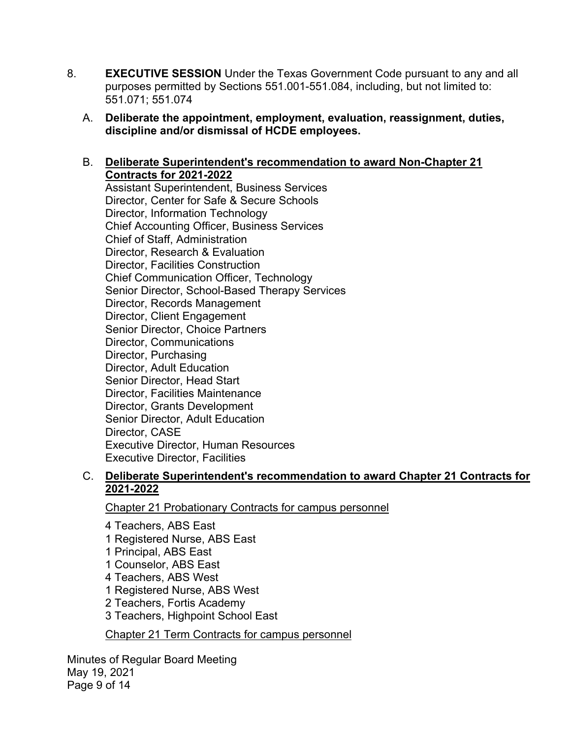- 8. **EXECUTIVE SESSION** Under the Texas Government Code pursuant to any and all purposes permitted by Sections 551.001-551.084, including, but not limited to: 551.071; 551.074
	- A. **Deliberate the appointment, employment, evaluation, reassignment, duties, discipline and/or dismissal of HCDE employees.**

### B. **Deliberate Superintendent's recommendation to award Non-Chapter 21 Contracts for 2021-2022**

Assistant Superintendent, Business Services Director, Center for Safe & Secure Schools Director, Information Technology Chief Accounting Officer, Business Services Chief of Staff, Administration Director, Research & Evaluation Director, Facilities Construction Chief Communication Officer, Technology Senior Director, School-Based Therapy Services Director, Records Management Director, Client Engagement Senior Director, Choice Partners Director, Communications Director, Purchasing Director, Adult Education Senior Director, Head Start Director, Facilities Maintenance Director, Grants Development Senior Director, Adult Education Director, CASE Executive Director, Human Resources Executive Director, Facilities

### C. **Deliberate Superintendent's recommendation to award Chapter 21 Contracts for 2021-2022**

Chapter 21 Probationary Contracts for campus personnel

4 Teachers, ABS East 1 Registered Nurse, ABS East 1 Principal, ABS East 1 Counselor, ABS East 4 Teachers, ABS West 1 Registered Nurse, ABS West 2 Teachers, Fortis Academy 3 Teachers, Highpoint School East

Chapter 21 Term Contracts for campus personnel

Minutes of Regular Board Meeting May 19, 2021 Page 9 of 14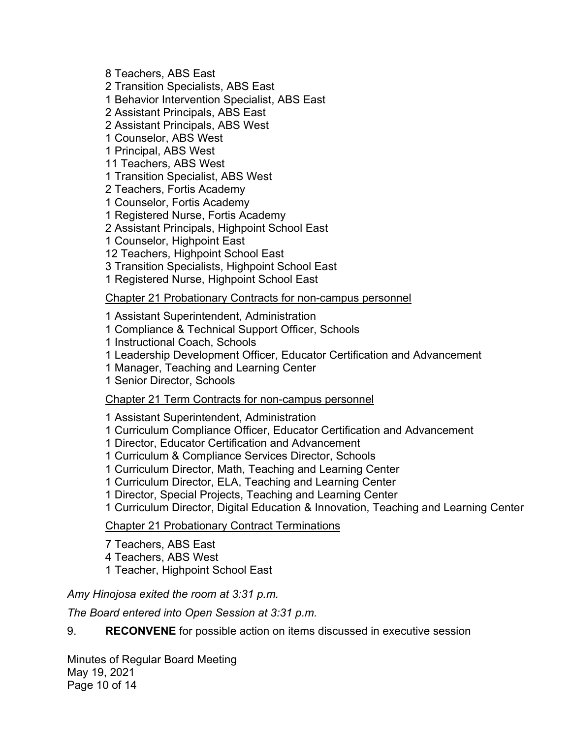8 Teachers, ABS East

2 Transition Specialists, ABS East

1 Behavior Intervention Specialist, ABS East

2 Assistant Principals, ABS East

2 Assistant Principals, ABS West

1 Counselor, ABS West

1 Principal, ABS West

11 Teachers, ABS West

1 Transition Specialist, ABS West

2 Teachers, Fortis Academy

1 Counselor, Fortis Academy

1 Registered Nurse, Fortis Academy

2 Assistant Principals, Highpoint School East

1 Counselor, Highpoint East

12 Teachers, Highpoint School East

3 Transition Specialists, Highpoint School East

1 Registered Nurse, Highpoint School East

Chapter 21 Probationary Contracts for non-campus personnel

1 Assistant Superintendent, Administration

1 Compliance & Technical Support Officer, Schools

1 Instructional Coach, Schools

1 Leadership Development Officer, Educator Certification and Advancement

1 Manager, Teaching and Learning Center

1 Senior Director, Schools

Chapter 21 Term Contracts for non-campus personnel

1 Assistant Superintendent, Administration

1 Curriculum Compliance Officer, Educator Certification and Advancement

1 Director, Educator Certification and Advancement

1 Curriculum & Compliance Services Director, Schools

1 Curriculum Director, Math, Teaching and Learning Center

1 Curriculum Director, ELA, Teaching and Learning Center

1 Director, Special Projects, Teaching and Learning Center

1 Curriculum Director, Digital Education & Innovation, Teaching and Learning Center

Chapter 21 Probationary Contract Terminations

7 Teachers, ABS East

4 Teachers, ABS West

1 Teacher, Highpoint School East

*Amy Hinojosa exited the room at 3:31 p.m.* 

*The Board entered into Open Session at 3:31 p.m.* 

9. **RECONVENE** for possible action on items discussed in executive session

Minutes of Regular Board Meeting May 19, 2021 Page 10 of 14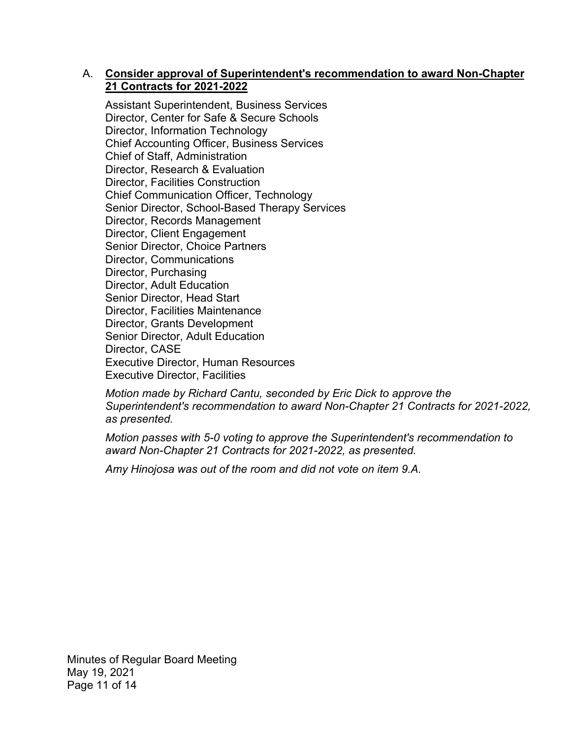### A. **Consider approval of Superintendent's recommendation to award Non-Chapter 21 Contracts for 2021-2022**

Assistant Superintendent, Business Services Director, Center for Safe & Secure Schools Director, Information Technology Chief Accounting Officer, Business Services Chief of Staff, Administration Director, Research & Evaluation Director, Facilities Construction Chief Communication Officer, Technology Senior Director, School-Based Therapy Services Director, Records Management Director, Client Engagement Senior Director, Choice Partners Director, Communications Director, Purchasing Director, Adult Education Senior Director, Head Start Director, Facilities Maintenance Director, Grants Development Senior Director, Adult Education Director, CASE Executive Director, Human Resources Executive Director, Facilities

*Motion made by Richard Cantu, seconded by Eric Dick to approve the Superintendent's recommendation to award Non-Chapter 21 Contracts for 2021-2022, as presented.* 

*Motion passes with 5-0 voting to approve the Superintendent's recommendation to award Non-Chapter 21 Contracts for 2021-2022, as presented.* 

*Amy Hinojosa was out of the room and did not vote on item 9.A.* 

Minutes of Regular Board Meeting May 19, 2021 Page 11 of 14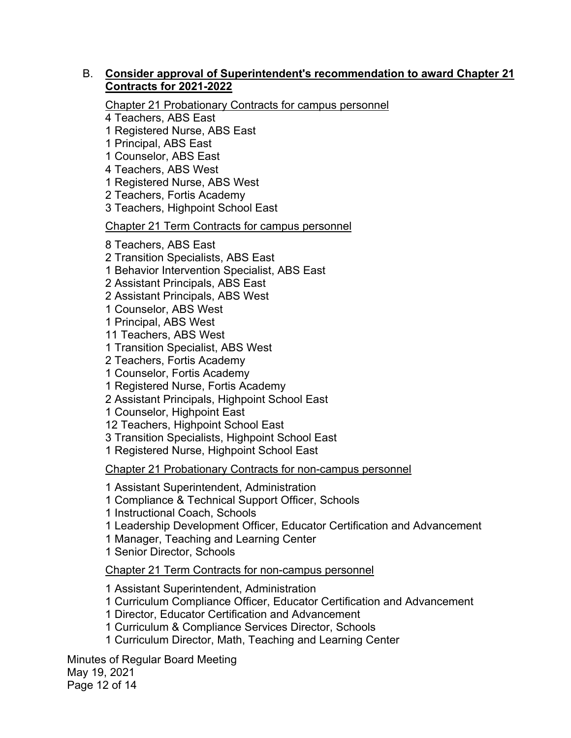### B. **Consider approval of Superintendent's recommendation to award Chapter 21 Contracts for 2021-2022**

Chapter 21 Probationary Contracts for campus personnel

4 Teachers, ABS East

1 Registered Nurse, ABS East

1 Principal, ABS East

1 Counselor, ABS East

4 Teachers, ABS West

1 Registered Nurse, ABS West

2 Teachers, Fortis Academy

3 Teachers, Highpoint School East

Chapter 21 Term Contracts for campus personnel

8 Teachers, ABS East

2 Transition Specialists, ABS East

1 Behavior Intervention Specialist, ABS East

2 Assistant Principals, ABS East

2 Assistant Principals, ABS West

1 Counselor, ABS West

1 Principal, ABS West

11 Teachers, ABS West

1 Transition Specialist, ABS West

2 Teachers, Fortis Academy

1 Counselor, Fortis Academy

1 Registered Nurse, Fortis Academy

2 Assistant Principals, Highpoint School East

1 Counselor, Highpoint East

12 Teachers, Highpoint School East

3 Transition Specialists, Highpoint School East

1 Registered Nurse, Highpoint School East

Chapter 21 Probationary Contracts for non-campus personnel

1 Assistant Superintendent, Administration

1 Compliance & Technical Support Officer, Schools

1 Instructional Coach, Schools

1 Leadership Development Officer, Educator Certification and Advancement

1 Manager, Teaching and Learning Center

1 Senior Director, Schools

Chapter 21 Term Contracts for non-campus personnel

1 Assistant Superintendent, Administration

1 Curriculum Compliance Officer, Educator Certification and Advancement

1 Director, Educator Certification and Advancement

1 Curriculum & Compliance Services Director, Schools

1 Curriculum Director, Math, Teaching and Learning Center

Minutes of Regular Board Meeting May 19, 2021 Page 12 of 14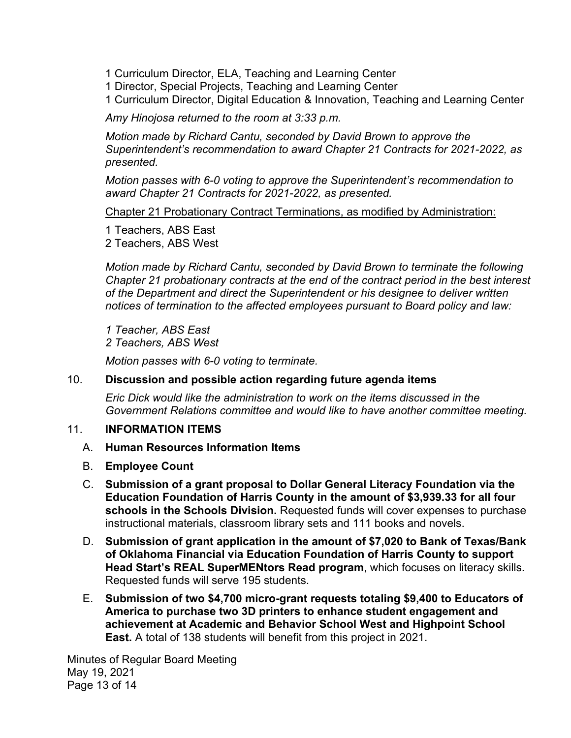1 Curriculum Director, ELA, Teaching and Learning Center

1 Director, Special Projects, Teaching and Learning Center

1 Curriculum Director, Digital Education & Innovation, Teaching and Learning Center

*Amy Hinojosa returned to the room at 3:33 p.m.* 

*Motion made by Richard Cantu, seconded by David Brown to approve the Superintendent's recommendation to award Chapter 21 Contracts for 2021-2022, as presented.* 

*Motion passes with 6-0 voting to approve the Superintendent's recommendation to award Chapter 21 Contracts for 2021-2022, as presented.* 

Chapter 21 Probationary Contract Terminations, as modified by Administration:

1 Teachers, ABS East 2 Teachers, ABS West

*Motion made by Richard Cantu, seconded by David Brown to terminate the following Chapter 21 probationary contracts at the end of the contract period in the best interest of the Department and direct the Superintendent or his designee to deliver written notices of termination to the affected employees pursuant to Board policy and law:*

*1 Teacher, ABS East 2 Teachers, ABS West* 

*Motion passes with 6-0 voting to terminate.* 

#### 10. **Discussion and possible action regarding future agenda items**

*Eric Dick would like the administration to work on the items discussed in the Government Relations committee and would like to have another committee meeting.* 

#### 11. **INFORMATION ITEMS**

### A. **Human Resources Information Items**

- B. **Employee Count**
- C. **Submission of a grant proposal to Dollar General Literacy Foundation via the Education Foundation of Harris County in the amount of \$3,939.33 for all four schools in the Schools Division.** Requested funds will cover expenses to purchase instructional materials, classroom library sets and 111 books and novels.
- D. **Submission of grant application in the amount of \$7,020 to Bank of Texas/Bank of Oklahoma Financial via Education Foundation of Harris County to support Head Start's REAL SuperMENtors Read program**, which focuses on literacy skills. Requested funds will serve 195 students.
- E. **Submission of two \$4,700 micro-grant requests totaling \$9,400 to Educators of America to purchase two 3D printers to enhance student engagement and achievement at Academic and Behavior School West and Highpoint School East.** A total of 138 students will benefit from this project in 2021.

Minutes of Regular Board Meeting May 19, 2021 Page 13 of 14